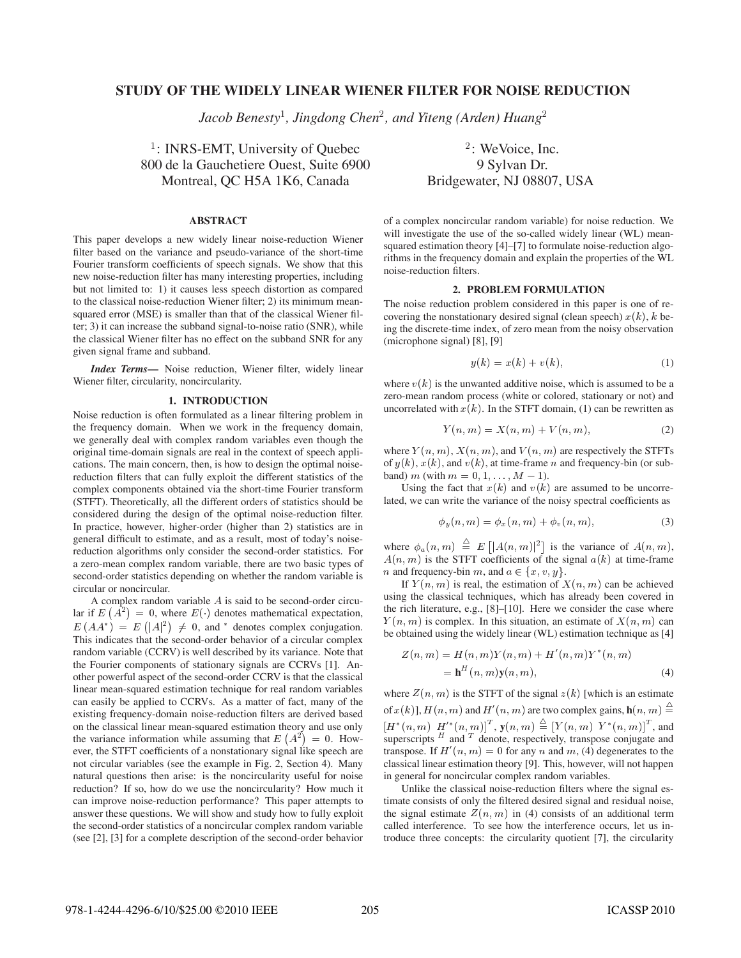# **STUDY OF THE WIDELY LINEAR WIENER FILTER FOR NOISE REDUCTION**

Jacob Benesty<sup>1</sup>, Jingdong Chen<sup>2</sup>, and Yiteng (Arden) Huang

 $\frac{1}{1}$ : INRS-EMT, University of Quebec 800 de la Gauchetiere Ouest, Suite 6900 9 Sylvan Dr. Montreal, OC H5A 1K6, Canada Bridgewater, NJ 08807, USA

## **ABSTRACT**

This paper develops a new widely linear noise-reduction Wiener filter based on the variance and pseudo-variance of the short-time Fourier transform coefficients of speech signals. We show that this new noise-reduction filter has many interesting properties, including but not limited to: 1) it causes less speech distortion as compared to the classical noise-reduction Wiener filter; 2) its minimum meansquared error (MSE) is smaller than that of the classical Wiener filter; 3) it can increase the subband signal-to-noise ratio (SNR), while the classical Wiener filter has no effect on the subband SNR for any given signal frame and subband.

*Index Terms***—** Noise reduction, Wiener filter, widely linear Wiener filter, circularity, noncircularity.

### **1. INTRODUCTION**

Noise reduction is often formulated as a linear filtering problem in the frequency domain. When we work in the frequency domain, we generally deal with complex random variables even though the original time-domain signals are real in the context of speech applications. The main concern, then, is how to design the optimal noisereduction filters that can fully exploit the different statistics of the complex components obtained via the short-time Fourier transform (STFT). Theoretically, all the different orders of statistics should be considered during the design of the optimal noise-reduction filter. In practice, however, higher-order (higher than 2) statistics are in general difficult to estimate, and as a result, most of today's noisereduction algorithms only consider the second-order statistics. For a zero-mean complex random variable, there are two basic types of second-order statistics depending on whether the random variable is circular or noncircular.

A complex random variable  $A$  is said to be second-order circular if  $E(A^2) = 0$ , where  $E(\cdot)$  denotes mathematical expectation,  $E(AA^*) = E(|A|^2) \neq 0$ , and  $*$  denotes complex conjugation. This indicates that the second-order behavior of a circular complex random variable (CCRV) is well described by its variance. Note that the Fourier components of stationary signals are CCRVs [1]. Another powerful aspect of the second-order CCRV is that the classical linear mean-squared estimation technique for real random variables can easily be applied to CCRVs. As a matter of fact, many of the existing frequency-domain noise-reduction filters are derived based on the classical linear mean-squared estimation theory and use only the variance information while assuming that  $E(A^2) = 0$ . However, the STFT coefficients of a nonstationary signal like speech are not circular variables (see the example in Fig. 2, Section 4). Many natural questions then arise: is the noncircularity useful for noise reduction? If so, how do we use the noncircularity? How much it can improve noise-reduction performance? This paper attempts to answer these questions. We will show and study how to fully exploit the second-order statistics of a noncircular complex random variable (see [2], [3] for a complete description of the second-order behavior

: WeVoice, Inc.

of a complex noncircular random variable) for noise reduction. We will investigate the use of the so-called widely linear (WL) meansquared estimation theory [4]–[7] to formulate noise-reduction algorithms in the frequency domain and explain the properties of the WL noise-reduction filters.

#### **2. PROBLEM FORMULATION**

The noise reduction problem considered in this paper is one of recovering the nonstationary desired signal (clean speech)  $x(k)$ , k being the discrete-time index, of zero mean from the noisy observation (microphone signal) [8], [9]

$$
y(k) = x(k) + v(k),\tag{1}
$$

where  $v(k)$  is the unwanted additive noise, which is assumed to be a zero-mean random process (white or colored, stationary or not) and uncorrelated with  $x(k)$ . In the STFT domain, (1) can be rewritten as

$$
Y(n,m) = X(n,m) + V(n,m),\tag{2}
$$

where  $Y(n, m)$ ,  $X(n, m)$ , and  $V(n, m)$  are respectively the STFTs of  $y(k)$ ,  $x(k)$ , and  $v(k)$ , at time-frame n and frequency-bin (or subband) *m* (with  $m = 0, 1, ..., M - 1$ ).

Using the fact that  $x(k)$  and  $v(k)$  are assumed to be uncorrelated, we can write the variance of the noisy spectral coefficients as

$$
\phi_y(n,m) = \phi_x(n,m) + \phi_v(n,m), \qquad (3)
$$

where  $\phi_a(n,m) \equiv E\left[ |A(n,m)|^2 \right]$  is the variance of  $A(n,m)$ ,  $A(n, m)$  is the STFT coefficients of the signal  $a(k)$  at time-frame *n* and frequency-bin *m*, and  $a \in \{x, v, y\}$ .

If  $Y(n, m)$  is real, the estimation of  $X(n, m)$  can be achieved using the classical techniques, which has already been covered in the rich literature, e.g., [8]–[10]. Here we consider the case where  $Y(n, m)$  is complex. In this situation, an estimate of  $X(n, m)$  can be obtained using the widely linear (WL) estimation technique as [4]

$$
Z(n, m) = H(n, m)Y(n, m) + H'(n, m)Y^*(n, m)
$$
  
= 
$$
\mathbf{h}^H(n, m)\mathbf{y}(n, m),
$$
 (4)

where  $Z(n, m)$  is the STFT of the signal  $z(k)$  [which is an estimate of  $x(k)$ ,  $H(n, m)$  and  $H'(n, m)$  are two complex gains,  $\mathbf{h}(n, m) \stackrel{\triangle}{=}$  $\{ H^*(n, m) \mid H'^*(n, m) \}^{\perp}$ ,  $\mathbf{y}(n, m) \stackrel{\triangle}{=} [Y(n, m) \mid Y^*(n, m)]^{\perp}$ , and superscripts  $^H$  and  $^T$  denote, respectively, transpose conjugate and transpose. If  $H'(n, m) = 0$  for any n and m, (4) degenerates to the classical linear estimation theory [9]. This, however, will not happen in general for noncircular complex random variables.

Unlike the classical noise-reduction filters where the signal estimate consists of only the filtered desired signal and residual noise, the signal estimate  $Z(n, m)$  in (4) consists of an additional term called interference. To see how the interference occurs, let us introduce three concepts: the circularity quotient [7], the circularity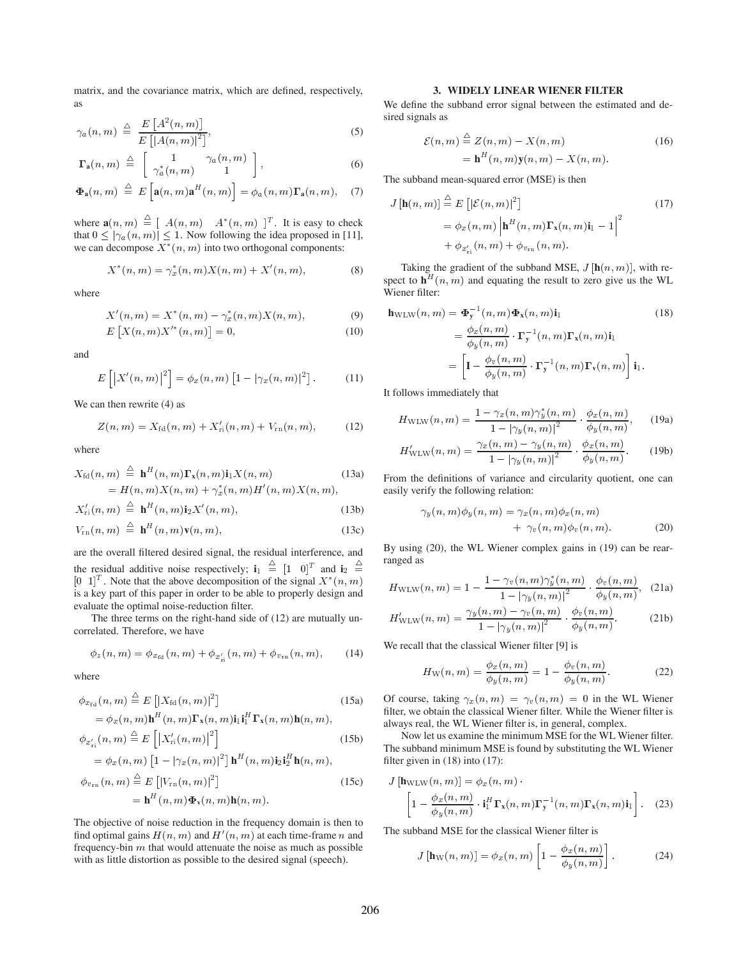matrix, and the covariance matrix, which are defined, respectively, as

$$
\gamma_a(n,m) \triangleq \frac{E\left[A^2(n,m)\right]}{E\left[|A(n,m)|^2\right]},\tag{5}
$$

$$
\Gamma_{a}(n,m) \triangleq \begin{bmatrix} 1 & \gamma_{a}(n,m) \\ \gamma_{a}^{*}(n,m) & 1 \end{bmatrix}, \qquad (6)
$$

$$
\Phi_{\mathbf{a}}(n,m) \stackrel{\triangle}{=} E\left[\mathbf{a}(n,m)\mathbf{a}^H(n,m)\right] = \phi_a(n,m)\Gamma_{\mathbf{a}}(n,m), \quad (7)
$$

where  $\mathbf{a}(n,m) \triangleq [A(n,m) \ A^*(n,m)]^T$ . It is easy to check that  $0 \leq |\gamma_a(n,m)| \leq 1$ . Now following the idea proposed in [11], we can decompose  $X^*(n, m)$  into two orthogonal components:

$$
X^*(n, m) = \gamma_x^*(n, m)X(n, m) + X'(n, m), \tag{8}
$$

where

$$
X'(n, m) = X^*(n, m) - \gamma_x^*(n, m) X(n, m), \tag{9}
$$

$$
E\left[X(n, m)X'^{*}(n, m)\right] = 0,
$$
\n(10)

and

$$
E\left[\left|X'(n,m)\right|^2\right] = \phi_x(n,m)\left[1 - |\gamma_x(n,m)|^2\right].\tag{11}
$$

We can then rewrite (4) as

$$
Z(n, m) = X_{\rm fd}(n, m) + X'_{\rm ri}(n, m) + V_{\rm rn}(n, m), \tag{12}
$$

where

$$
X_{\text{fd}}(n, m) \stackrel{\triangle}{=} \mathbf{h}^{H}(n, m) \mathbf{\Gamma}_{\mathbf{x}}(n, m) \mathbf{i}_{1} X(n, m)
$$
\n
$$
= H(n, m) X(n, m) + \gamma_{x}^{*}(n, m) H'(n, m) X(n, m),
$$
\n(13a)

$$
X'_{\rm ri}(n,m) \triangleq \mathbf{h}^H(n,m)\mathbf{i}_2 X'(n,m), \qquad (13b)
$$

$$
V_{\rm rn}(n,m) \triangleq \mathbf{h}^H(n,m)\mathbf{v}(n,m), \qquad (13c)
$$

are the overall filtered desired signal, the residual interference, and the residual additive noise respectively;  $\mathbf{i}_1 \stackrel{\sim}{=} [1 \ 0]^T$  and  $\mathbf{i}_2$  $[0 \t1]^T$ . Note that the above decomposition of the signal  $X^*(n, m)$ is a key part of this paper in order to be able to properly design and evaluate the optimal noise-reduction filter.

The three terms on the right-hand side of (12) are mutually uncorrelated. Therefore, we have

$$
\phi_z(n,m) = \phi_{x_{\text{fd}}}(n,m) + \phi_{x'_{\text{ri}}}(n,m) + \phi_{v_{\text{rn}}}(n,m), \quad (14)
$$

where

$$
\phi_{x_{\text{fd}}}(n, m) \stackrel{\triangle}{=} E\left[|X_{\text{fd}}(n, m)|^2\right]
$$
(15a)  
\n
$$
= \phi_x(n, m) \mathbf{h}^H(n, m) \mathbf{\Gamma}_x(n, m) \mathbf{i}_1 \mathbf{i}_1^H \mathbf{\Gamma}_x(n, m) \mathbf{h}(n, m),
$$
  
\n
$$
\phi_{x'_{\text{ri}}}(n, m) \stackrel{\triangle}{=} E\left[|X'_{\text{ri}}(n, m)|^2\right]
$$
(15b)  
\n
$$
= \phi_x(n, m) \left[1 - |\gamma_x(n, m)|^2\right] \mathbf{h}^H(n, m) \mathbf{i}_2 \mathbf{i}_2^H \mathbf{h}(n, m),
$$
  
\n
$$
\phi_{v_{\text{rn}}}(n, m) \stackrel{\triangle}{=} E\left[|V_{\text{rn}}(n, m)|^2\right]
$$
  
\n
$$
= \mathbf{h}^H(n, m) \Phi_v(n, m) \mathbf{h}(n, m).
$$
(15c)

The objective of noise reduction in the frequency domain is then to find optimal gains  $H(n, m)$  and  $H'(n, m)$  at each time-frame n and frequency-bin  $m$  that would attenuate the noise as much as possible with as little distortion as possible to the desired signal (speech).

### **3. WIDELY LINEAR WIENER FILTER**

We define the subband error signal between the estimated and desired signals as

$$
\mathcal{E}(n, m) \stackrel{\triangle}{=} Z(n, m) - X(n, m)
$$
  
= 
$$
\mathbf{h}^{H}(n, m)\mathbf{y}(n, m) - X(n, m).
$$
 (16)

The subband mean-squared error (MSE) is then

$$
J\left[\mathbf{h}(n,m)\right] \stackrel{\triangle}{=} E\left[|\mathcal{E}(n,m)|^2\right]
$$
  
=  $\phi_x(n,m)\left|\mathbf{h}^H(n,m)\mathbf{\Gamma_x}(n,m)\mathbf{i}_1 - 1\right|^2$   
+  $\phi_{x'_{11}}(n,m) + \phi_{v_{11}}(n,m).$  (17)

Taking the gradient of the subband MSE,  $J[\mathbf{h}(n, m)]$ , with respect to  $\mathbf{h}^H(n,m)$  and equating the result to zero give us the WL Wiener filter:

$$
\mathbf{h}_{\text{WLW}}(n, m) = \mathbf{\Phi}_{\mathbf{y}}^{-1}(n, m) \mathbf{\Phi}_{\mathbf{x}}(n, m) \mathbf{i}_{1}
$$
(18)  

$$
= \frac{\phi_{x}(n, m)}{\phi_{y}(n, m)} \cdot \mathbf{\Gamma}_{\mathbf{y}}^{-1}(n, m) \mathbf{\Gamma}_{\mathbf{x}}(n, m) \mathbf{i}_{1}
$$

$$
= \left[ \mathbf{I} - \frac{\phi_{v}(n, m)}{\phi_{y}(n, m)} \cdot \mathbf{\Gamma}_{\mathbf{y}}^{-1}(n, m) \mathbf{\Gamma}_{\mathbf{v}}(n, m) \right] \mathbf{i}_{1}.
$$

It follows immediately that

$$
H_{\text{WLW}}(n, m) = \frac{1 - \gamma_x(n, m)\gamma_y^*(n, m)}{1 - |\gamma_y(n, m)|^2} \cdot \frac{\phi_x(n, m)}{\phi_y(n, m)},
$$
(19a)

$$
H'_{\text{WLW}}(n,m) = \frac{\gamma_x(n,m) - \gamma_y(n,m)}{1 - |\gamma_y(n,m)|^2} \cdot \frac{\phi_x(n,m)}{\phi_y(n,m)}.
$$
 (19b)

From the definitions of variance and circularity quotient, one can easily verify the following relation:

$$
\gamma_y(n,m)\phi_y(n,m) = \gamma_x(n,m)\phi_x(n,m) + \gamma_v(n,m)\phi_v(n,m).
$$
 (20)

By using (20), the WL Wiener complex gains in (19) can be rearranged as

$$
H_{\text{WLW}}(n, m) = 1 - \frac{1 - \gamma_v(n, m)\gamma_y^*(n, m)}{1 - |\gamma_y(n, m)|^2} \cdot \frac{\phi_v(n, m)}{\phi_y(n, m)}, \quad (21a)
$$

$$
H'_{\text{WLW}}(n, m) = \frac{\gamma_y(n, m) - \gamma_v(n, m)}{1 - |\gamma_y(n, m)|^2} \cdot \frac{\phi_v(n, m)}{\phi_y(n, m)}.
$$
 (21b)

We recall that the classical Wiener filter [9] is

$$
H_{\rm W}(n,m) = \frac{\phi_x(n,m)}{\phi_y(n,m)} = 1 - \frac{\phi_v(n,m)}{\phi_y(n,m)}.
$$
 (22)

Of course, taking  $\gamma_x(n,m) = \gamma_v(n,m) = 0$  in the WL Wiener filter, we obtain the classical Wiener filter. While the Wiener filter is always real, the WL Wiener filter is, in general, complex.

Now let us examine the minimum MSE for the WL Wiener filter. The subband minimum MSE is found by substituting the WL Wiener filter given in  $(18)$  into  $(17)$ :

$$
J\left[\mathbf{h}_{\mathrm{WLW}}(n, m)\right] = \phi_x(n, m) \cdot \left[1 - \frac{\phi_x(n, m)}{\phi_y(n, m)} \cdot \mathbf{i}_1^H \mathbf{\Gamma}_\mathbf{x}(n, m) \mathbf{\Gamma}_\mathbf{y}^{-1}(n, m) \mathbf{\Gamma}_\mathbf{x}(n, m) \mathbf{i}_1\right].
$$
 (23)

The subband MSE for the classical Wiener filter is

$$
J\left[\mathbf{h}_{\mathcal{W}}(n,m)\right] = \phi_x(n,m) \left[1 - \frac{\phi_x(n,m)}{\phi_y(n,m)}\right].
$$
 (24)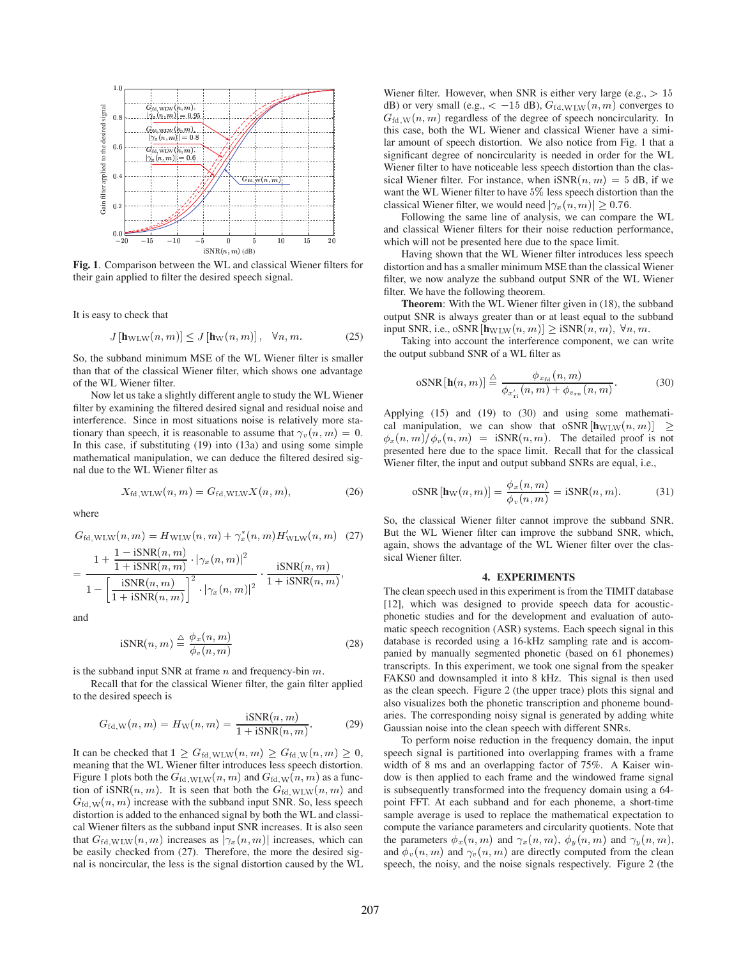

**Fig. 1**. Comparison between the WL and classical Wiener filters for their gain applied to filter the desired speech signal.

It is easy to check that

$$
J\left[\mathbf{h}_{\mathrm{WLW}}(n,m)\right] \le J\left[\mathbf{h}_{\mathrm{W}}(n,m)\right], \quad \forall n, m. \tag{25}
$$

So, the subband minimum MSE of the WL Wiener filter is smaller than that of the classical Wiener filter, which shows one advantage of the WL Wiener filter.

Now let us take a slightly different angle to study the WL Wiener filter by examining the filtered desired signal and residual noise and interference. Since in most situations noise is relatively more stationary than speech, it is reasonable to assume that  $\gamma_v(n,m) = 0$ . In this case, if substituting (19) into (13a) and using some simple mathematical manipulation, we can deduce the filtered desired signal due to the WL Wiener filter as

$$
X_{\text{fd,WLW}}(n,m) = G_{\text{fd,WLW}} X(n,m), \qquad (26)
$$

where

$$
G_{\text{fd,WLW}}(n, m) = H_{\text{WLW}}(n, m) + \gamma_x^*(n, m) H_{\text{WLW}}'(n, m) \tag{27}
$$

$$
= \frac{1 + \frac{1 - \text{15NR}(n, m)}{1 + \text{15NR}(n, m)} \cdot |\gamma_x(n, m)|^2}{1 - \left[\frac{\text{iSNR}(n, m)}{1 + \text{iSNR}(n, m)}\right]^2 \cdot |\gamma_x(n, m)|^2} \cdot \frac{\text{iSNR}(n, m)}{1 + \text{iSNR}(n, m)},
$$

and

$$
iSNR(n, m) \stackrel{\triangle}{=} \frac{\phi_x(n, m)}{\phi_v(n, m)}
$$
\n(28)

is the subband input SNR at frame  $n$  and frequency-bin  $m$ .

Recall that for the classical Wiener filter, the gain filter applied to the desired speech is

$$
G_{\text{fd,W}}(n,m) = H_{\text{W}}(n,m) = \frac{\text{iSNR}(n,m)}{1 + \text{iSNR}(n,m)}.
$$
 (29)

It can be checked that  $1 \geq G_{\text{fd},\text{WLW}}(n,m) \geq G_{\text{fd},\text{W}}(n,m) \geq 0$ , speed meaning that the WL Wiener filter introduces less speech distortion. Figure 1 plots both the  $G_{\text{fd,WLW}}(n, m)$  and  $G_{\text{fd,W}}(n, m)$  as a function of iSNR $(n, m)$ . It is seen that both the  $G_{\text{fd,WLW}}(n, m)$  and  $G_{\text{fd},W}(n,m)$  increase with the subband input SNR. So, less speech distortion is added to the enhanced signal by both the WL and classical Wiener filters as the subband input SNR increases. It is also seen that  $G_{\text{fd,WLW}}(n, m)$  increases as  $|\gamma_x(n, m)|$  increases, which can be easily checked from (27). Therefore, the more the desired signal is noncircular, the less is the signal distortion caused by the WL

Wiener filter. However, when SNR is either very large (e.g.,  $> 15$ dB) or very small (e.g.,  $\lt$  -15 dB),  $G_{\text{fd,WLW}}(n, m)$  converges to  $G_{\text{fd},W}(n, m)$  regardless of the degree of speech noncircularity. In this case, both the WL Wiener and classical Wiener have a similar amount of speech distortion. We also notice from Fig. 1 that a significant degree of noncircularity is needed in order for the WL Wiener filter to have noticeable less speech distortion than the classical Wiener filter. For instance, when  $iSNR(n, m) = 5$  dB, if we want the WL Wiener filter to have 5% less speech distortion than the classical Wiener filter, we would need  $|\gamma_x(n,m)| \ge 0.76$ .

Following the same line of analysis, we can compare the WL and classical Wiener filters for their noise reduction performance, which will not be presented here due to the space limit.

Having shown that the WL Wiener filter introduces less speech distortion and has a smaller minimum MSE than the classical Wiener filter, we now analyze the subband output SNR of the WL Wiener filter. We have the following theorem.

**Theorem**: With the WL Wiener filter given in (18), the subband output SNR is always greater than or at least equal to the subband input SNR, i.e., oSNR  $[\mathbf{h}_{\text{WLW}}(n, m)] \geq \text{iSNR}(n, m)$ ,  $\forall n, m$ .

Taking into account the interference component, we can write the output subband SNR of a WL filter as

$$
\text{oSNR}\left[\mathbf{h}(n,m)\right] \stackrel{\triangle}{=} \frac{\phi_{x_{\text{fd}}}(n,m)}{\phi_{x_{\text{ri}}}'(n,m) + \phi_{v_{\text{rn}}}(n,m)}.\tag{30}
$$

Applying (15) and (19) to (30) and using some mathematical manipulation, we can show that  $\sigma SNR$   $[\mathbf{h}_{\text{WLW}}(n, m)] \ge$  $\phi_x(n,m)/\phi_y(n,m) = iSNR(n,m)$ . The detailed proof is not presented here due to the space limit. Recall that for the classical Wiener filter, the input and output subband SNRs are equal, i.e.,

$$
\text{oSNR}[\mathbf{h}_{\mathbf{W}}(n,m)] = \frac{\phi_x(n,m)}{\phi_v(n,m)} = \text{iSNR}(n,m). \tag{31}
$$

So, the classical Wiener filter cannot improve the subband SNR. But the WL Wiener filter can improve the subband SNR, which, again, shows the advantage of the WL Wiener filter over the classical Wiener filter.

## **4. EXPERIMENTS**

The clean speech used in this experiment is from the TIMIT database [12], which was designed to provide speech data for acousticphonetic studies and for the development and evaluation of automatic speech recognition (ASR) systems. Each speech signal in this database is recorded using a 16-kHz sampling rate and is accompanied by manually segmented phonetic (based on 61 phonemes) transcripts. In this experiment, we took one signal from the speaker FAKS0 and downsampled it into 8 kHz. This signal is then used as the clean speech. Figure 2 (the upper trace) plots this signal and also visualizes both the phonetic transcription and phoneme boundaries. The corresponding noisy signal is generated by adding white Gaussian noise into the clean speech with different SNRs.

To perform noise reduction in the frequency domain, the input speech signal is partitioned into overlapping frames with a frame width of 8 ms and an overlapping factor of 75%. A Kaiser window is then applied to each frame and the windowed frame signal is subsequently transformed into the frequency domain using a 64 point FFT. At each subband and for each phoneme, a short-time sample average is used to replace the mathematical expectation to compute the variance parameters and circularity quotients. Note that the parameters  $\phi_x(n, m)$  and  $\gamma_x(n, m)$ ,  $\phi_y(n, m)$  and  $\gamma_y(n, m)$ , and  $\phi_v(n,m)$  and  $\gamma_v(n,m)$  are directly computed from the clean speech, the noisy, and the noise signals respectively. Figure 2 (the